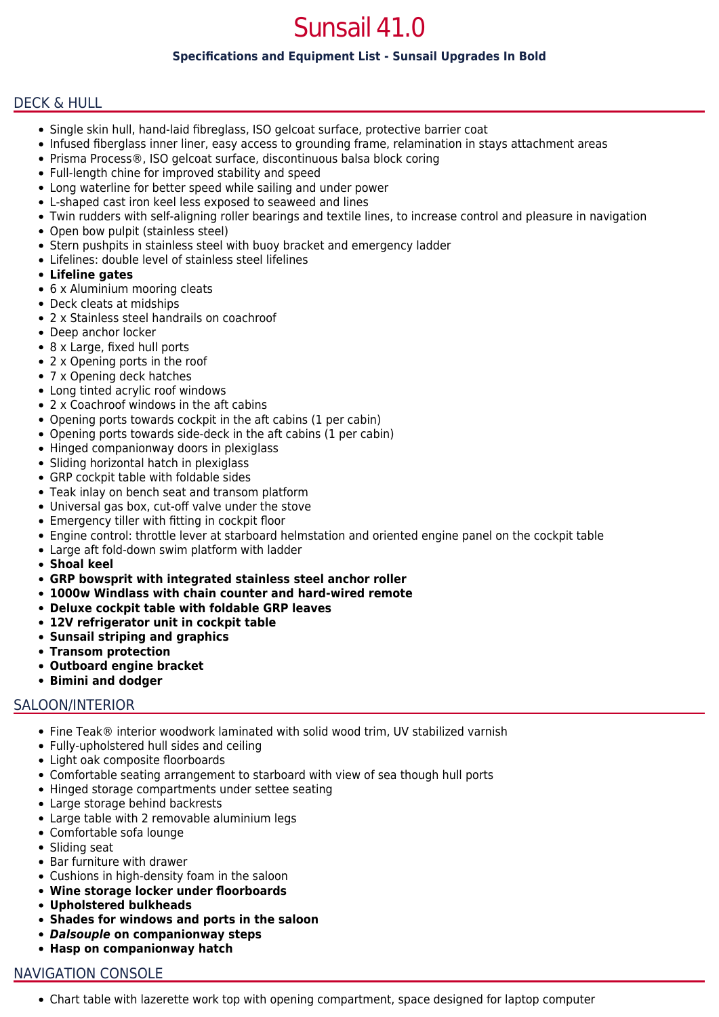# Sunsail 41.0

## **Specifications and Equipment List - Sunsail Upgrades In Bold**

## DECK & HULL

- Single skin hull, hand-laid fibreglass, ISO gelcoat surface, protective barrier coat
- Infused fiberglass inner liner, easy access to grounding frame, relamination in stays attachment areas
- Prisma Process®, ISO gelcoat surface, discontinuous balsa block coring
- Full-length chine for improved stability and speed
- Long waterline for better speed while sailing and under power
- L-shaped cast iron keel less exposed to seaweed and lines
- Twin rudders with self-aligning roller bearings and textile lines, to increase control and pleasure in navigation
- Open bow pulpit (stainless steel)
- Stern pushpits in stainless steel with buoy bracket and emergency ladder
- Lifelines: double level of stainless steel lifelines
- **Lifeline gates**
- 6 x Aluminium mooring cleats
- Deck cleats at midships
- 2 x Stainless steel handrails on coachroof
- Deep anchor locker
- 8 x Large, fixed hull ports
- 2 x Opening ports in the roof
- 7 x Opening deck hatches
- Long tinted acrylic roof windows
- 2 x Coachroof windows in the aft cabins
- Opening ports towards cockpit in the aft cabins (1 per cabin)
- Opening ports towards side-deck in the aft cabins (1 per cabin)
- Hinged companionway doors in plexiglass
- Sliding horizontal hatch in plexiglass
- GRP cockpit table with foldable sides
- Teak inlay on bench seat and transom platform
- Universal gas box, cut-off valve under the stove
- Emergency tiller with fitting in cockpit floor
- Engine control: throttle lever at starboard helmstation and oriented engine panel on the cockpit table
- Large aft fold-down swim platform with ladder
- **Shoal keel**
- **GRP bowsprit with integrated stainless steel anchor roller**
- **1000w Windlass with chain counter and hard-wired remote**
- **Deluxe cockpit table with foldable GRP leaves**
- **12V refrigerator unit in cockpit table**
- **Sunsail striping and graphics**
- **Transom protection**
- **Outboard engine bracket**
- **Bimini and dodger**

## SALOON/INTERIOR

- Fine Teak® interior woodwork laminated with solid wood trim, UV stabilized varnish
- Fully-upholstered hull sides and ceiling
- Light oak composite floorboards
- Comfortable seating arrangement to starboard with view of sea though hull ports
- Hinged storage compartments under settee seating
- Large storage behind backrests
- Large table with 2 removable aluminium legs
- Comfortable sofa lounge
- Sliding seat
- Bar furniture with drawer
- Cushions in high-density foam in the saloon
- **Wine storage locker under floorboards**
- **Upholstered bulkheads**
- **Shades for windows and ports in the saloon**
- *Dalsouple* **on companionway steps**
- **Hasp on companionway hatch**

## NAVIGATION CONSOLE

Chart table with lazerette work top with opening compartment, space designed for laptop computer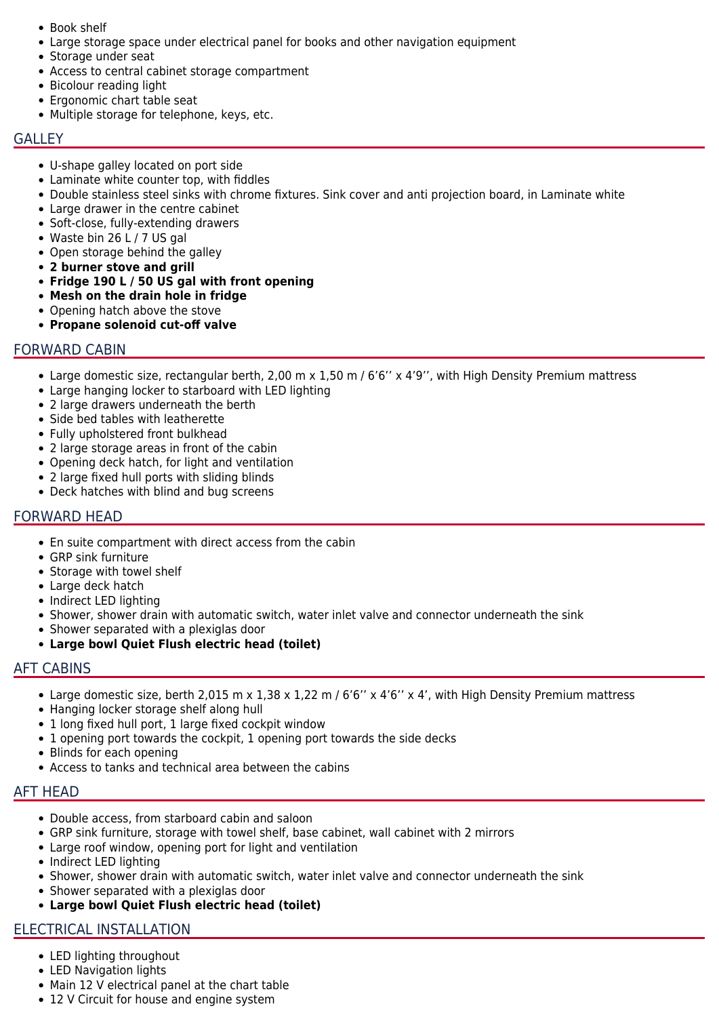- Book shelf
- Large storage space under electrical panel for books and other navigation equipment
- Storage under seat
- Access to central cabinet storage compartment
- Bicolour reading light
- Ergonomic chart table seat
- Multiple storage for telephone, keys, etc.

#### **GALLEY**

- U-shape galley located on port side
- Laminate white counter top, with fiddles
- Double stainless steel sinks with chrome fixtures. Sink cover and anti projection board, in Laminate white
- Large drawer in the centre cabinet
- Soft-close, fully-extending drawers
- Waste bin 26 L / 7 US gal
- Open storage behind the galley
- **2 burner stove and grill**
- **Fridge 190 L / 50 US gal with front opening**
- **Mesh on the drain hole in fridge**
- Opening hatch above the stove
- **Propane solenoid cut-off valve**

## FORWARD CABIN

- Large domestic size, rectangular berth, 2,00 m x 1,50 m / 6'6" x 4'9", with High Density Premium mattress
- Large hanging locker to starboard with LED lighting
- 2 large drawers underneath the berth
- Side bed tables with leatherette
- Fully upholstered front bulkhead
- 2 large storage areas in front of the cabin
- Opening deck hatch, for light and ventilation
- 2 large fixed hull ports with sliding blinds
- Deck hatches with blind and bug screens

## FORWARD HEAD

- En suite compartment with direct access from the cabin
- GRP sink furniture
- Storage with towel shelf
- Large deck hatch
- Indirect LED lighting
- Shower, shower drain with automatic switch, water inlet valve and connector underneath the sink
- Shower separated with a plexiglas door
- **Large bowl Quiet Flush electric head (toilet)**

## AFT CABINS

- Large domestic size, berth 2,015 m x 1,38 x 1,22 m /  $6'6''$  x  $4'6''$  x 4', with High Density Premium mattress
- Hanging locker storage shelf along hull
- 1 long fixed hull port, 1 large fixed cockpit window
- 1 opening port towards the cockpit, 1 opening port towards the side decks
- Blinds for each opening
- Access to tanks and technical area between the cabins

# AFT HEAD

- Double access, from starboard cabin and saloon
- GRP sink furniture, storage with towel shelf, base cabinet, wall cabinet with 2 mirrors
- Large roof window, opening port for light and ventilation
- Indirect LED lighting
- Shower, shower drain with automatic switch, water inlet valve and connector underneath the sink
- Shower separated with a plexiglas door
- **Large bowl Quiet Flush electric head (toilet)**

# ELECTRICAL INSTALLATION

- LED lighting throughout
- LED Navigation lights
- Main 12 V electrical panel at the chart table
- 12 V Circuit for house and engine system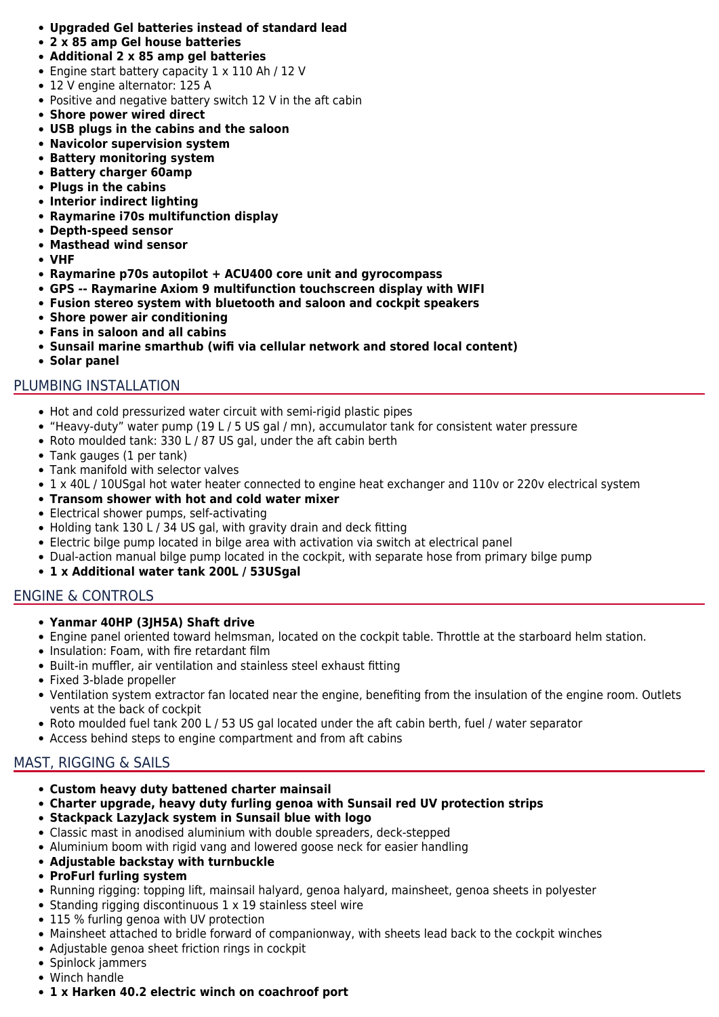- **Upgraded Gel batteries instead of standard lead**
- **2 x 85 amp Gel house batteries**
- **Additional 2 x 85 amp gel batteries**
- Engine start battery capacity 1 x 110 Ah / 12 V
- 12 V engine alternator: 125 A
- Positive and negative battery switch 12 V in the aft cabin
- **Shore power wired direct**
- **USB plugs in the cabins and the saloon**
- **Navicolor supervision system**
- **Battery monitoring system**
- **Battery charger 60amp**
- **Plugs in the cabins**
- **Interior indirect lighting**
- **Raymarine i70s multifunction display**
- **Depth-speed sensor**
- **Masthead wind sensor**
- **VHF**
- **Raymarine p70s autopilot + ACU400 core unit and gyrocompass**
- **GPS -- Raymarine Axiom 9 multifunction touchscreen display with WIFI**
- **Fusion stereo system with bluetooth and saloon and cockpit speakers**
- **Shore power air conditioning**
- **Fans in saloon and all cabins**
- **Sunsail marine smarthub (wifi via cellular network and stored local content)**
- **Solar panel**

# PLUMBING INSTALLATION

- Hot and cold pressurized water circuit with semi-rigid plastic pipes
- "Heavy-duty" water pump (19 L / 5 US gal / mn), accumulator tank for consistent water pressure
- Roto moulded tank: 330 L / 87 US gal, under the aft cabin berth
- Tank gauges (1 per tank)
- Tank manifold with selector valves
- 1 x 40L / 10USgal hot water heater connected to engine heat exchanger and 110v or 220v electrical system
- **Transom shower with hot and cold water mixer**
- Electrical shower pumps, self-activating
- Holding tank 130 L / 34 US gal, with gravity drain and deck fitting
- Electric bilge pump located in bilge area with activation via switch at electrical panel
- Dual-action manual bilge pump located in the cockpit, with separate hose from primary bilge pump

## **1 x Additional water tank 200L / 53USgal**

# ENGINE & CONTROLS

## **Yanmar 40HP (3JH5A) Shaft drive**

- Engine panel oriented toward helmsman, located on the cockpit table. Throttle at the starboard helm station.
- Insulation: Foam, with fire retardant film
- Built-in muffler, air ventilation and stainless steel exhaust fitting
- Fixed 3-blade propeller
- Ventilation system extractor fan located near the engine, benefiting from the insulation of the engine room. Outlets vents at the back of cockpit
- Roto moulded fuel tank 200 L / 53 US gal located under the aft cabin berth, fuel / water separator
- Access behind steps to engine compartment and from aft cabins

# MAST, RIGGING & SAILS

- **Custom heavy duty battened charter mainsail**
- **Charter upgrade, heavy duty furling genoa with Sunsail red UV protection strips**
- **Stackpack LazyJack system in Sunsail blue with logo**
- Classic mast in anodised aluminium with double spreaders, deck-stepped
- Aluminium boom with rigid vang and lowered goose neck for easier handling
- **Adjustable backstay with turnbuckle**
- **ProFurl furling system**
- Running rigging: topping lift, mainsail halyard, genoa halyard, mainsheet, genoa sheets in polyester
- Standing rigging discontinuous 1 x 19 stainless steel wire
- 115 % furling genoa with UV protection
- Mainsheet attached to bridle forward of companionway, with sheets lead back to the cockpit winches
- Adjustable genoa sheet friction rings in cockpit
- Spinlock jammers
- Winch handle
- **1 x Harken 40.2 electric winch on coachroof port**